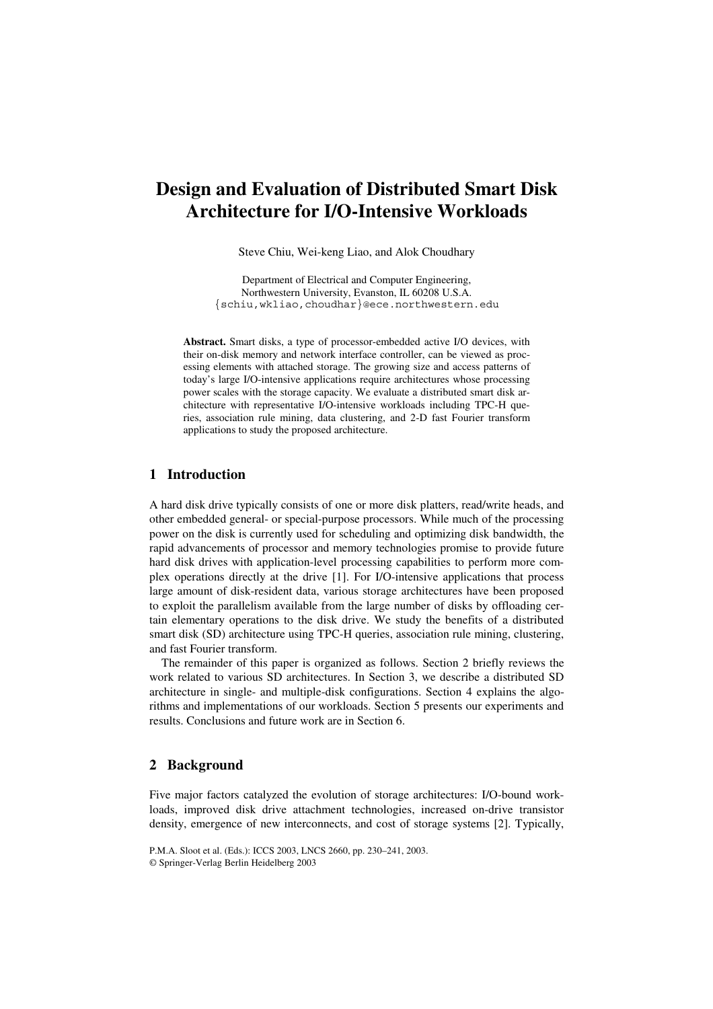# **Design and Evaluation of Distributed Smart Disk Architecture for I/O-Intensive Workloads**

Steve Chiu, Wei-keng Liao, and Alok Choudhary

Department of Electrical and Computer Engineering, Northwestern University, Evanston, IL 60208 U.S.A. {schiu,wkliao,choudhar}@ece.northwestern.edu

**Abstract.** Smart disks, a type of processor-embedded active I/O devices, with their on-disk memory and network interface controller, can be viewed as processing elements with attached storage. The growing size and access patterns of today's large I/O-intensive applications require architectures whose processing power scales with the storage capacity. We evaluate a distributed smart disk architecture with representative I/O-intensive workloads including TPC-H queries, association rule mining, data clustering, and 2-D fast Fourier transform applications to study the proposed architecture.

# **1 Introduction**

A hard disk drive typically consists of one or more disk platters, read/write heads, and other embedded general- or special-purpose processors. While much of the processing power on the disk is currently used for scheduling and optimizing disk bandwidth, the rapid advancements of processor and memory technologies promise to provide future hard disk drives with application-level processing capabilities to perform more complex operations directly at the drive [1]. For I/O-intensive applications that process large amount of disk-resident data, various storage architectures have been proposed to exploit the parallelism available from the large number of disks by offloading certain elementary operations to the disk drive. We study the benefits of a distributed smart disk (SD) architecture using TPC-H queries, association rule mining, clustering, and fast Fourier transform.

 The remainder of this paper is organized as follows. Section 2 briefly reviews the work related to various SD architectures. In Section 3, we describe a distributed SD architecture in single- and multiple-disk configurations. Section 4 explains the algorithms and implementations of our workloads. Section 5 presents our experiments and results. Conclusions and future work are in Section 6.

# **2 Background**

Five major factors catalyzed the evolution of storage architectures: I/O-bound workloads, improved disk drive attachment technologies, increased on-drive transistor density, emergence of new interconnects, and cost of storage systems [2]. Typically,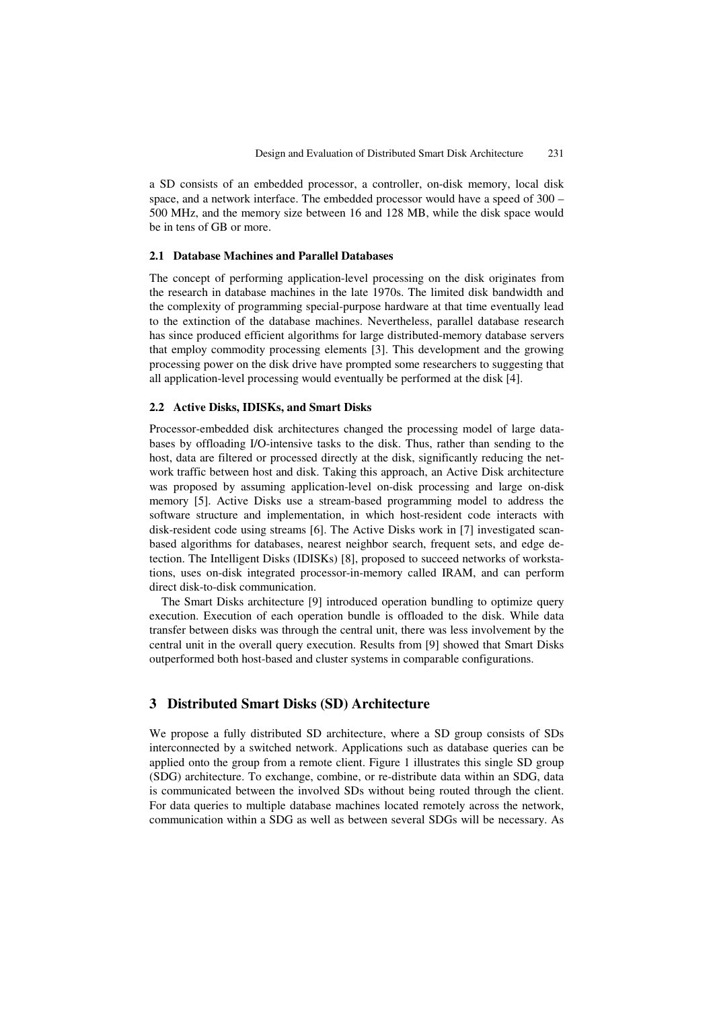a SD consists of an embedded processor, a controller, on-disk memory, local disk space, and a network interface. The embedded processor would have a speed of 300 – 500 MHz, and the memory size between 16 and 128 MB, while the disk space would be in tens of GB or more.

#### **2.1 Database Machines and Parallel Databases**

The concept of performing application-level processing on the disk originates from the research in database machines in the late 1970s. The limited disk bandwidth and the complexity of programming special-purpose hardware at that time eventually lead to the extinction of the database machines. Nevertheless, parallel database research has since produced efficient algorithms for large distributed-memory database servers that employ commodity processing elements [3]. This development and the growing processing power on the disk drive have prompted some researchers to suggesting that all application-level processing would eventually be performed at the disk [4].

#### **2.2 Active Disks, IDISKs, and Smart Disks**

Processor-embedded disk architectures changed the processing model of large databases by offloading I/O-intensive tasks to the disk. Thus, rather than sending to the host, data are filtered or processed directly at the disk, significantly reducing the network traffic between host and disk. Taking this approach, an Active Disk architecture was proposed by assuming application-level on-disk processing and large on-disk memory [5]. Active Disks use a stream-based programming model to address the software structure and implementation, in which host-resident code interacts with disk-resident code using streams [6]. The Active Disks work in [7] investigated scanbased algorithms for databases, nearest neighbor search, frequent sets, and edge detection. The Intelligent Disks (IDISKs) [8], proposed to succeed networks of workstations, uses on-disk integrated processor-in-memory called IRAM, and can perform direct disk-to-disk communication.

 The Smart Disks architecture [9] introduced operation bundling to optimize query execution. Execution of each operation bundle is offloaded to the disk. While data transfer between disks was through the central unit, there was less involvement by the central unit in the overall query execution. Results from [9] showed that Smart Disks outperformed both host-based and cluster systems in comparable configurations.

#### **3 Distributed Smart Disks (SD) Architecture**

We propose a fully distributed SD architecture, where a SD group consists of SDs interconnected by a switched network. Applications such as database queries can be applied onto the group from a remote client. Figure 1 illustrates this single SD group (SDG) architecture. To exchange, combine, or re-distribute data within an SDG, data is communicated between the involved SDs without being routed through the client. For data queries to multiple database machines located remotely across the network, communication within a SDG as well as between several SDGs will be necessary. As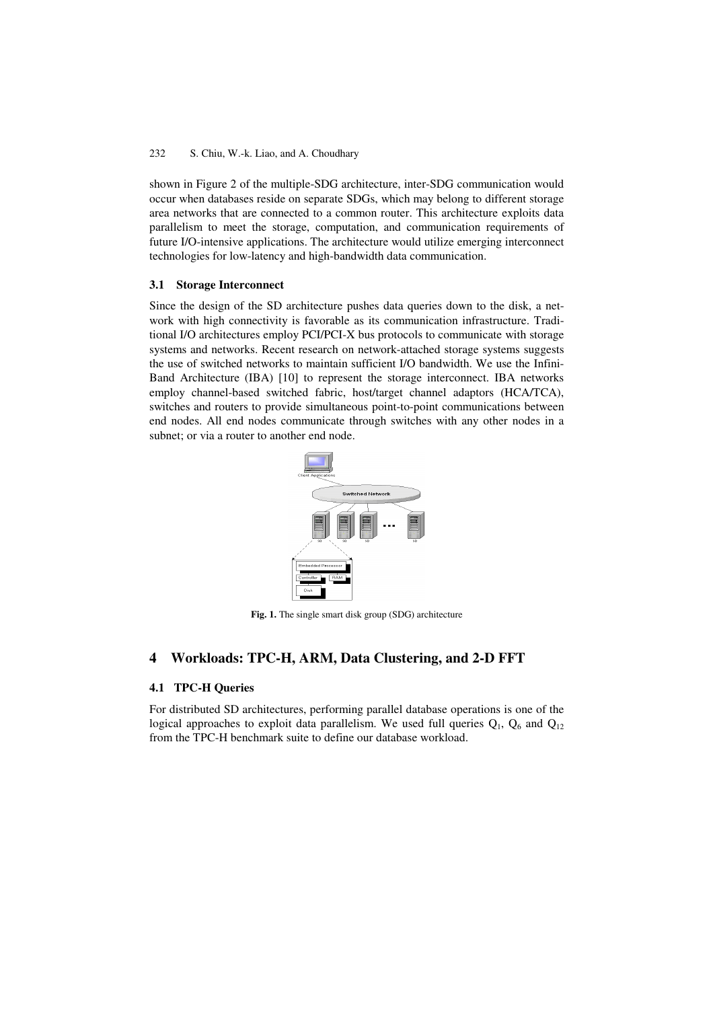shown in Figure 2 of the multiple-SDG architecture, inter-SDG communication would occur when databases reside on separate SDGs, which may belong to different storage area networks that are connected to a common router. This architecture exploits data parallelism to meet the storage, computation, and communication requirements of future I/O-intensive applications. The architecture would utilize emerging interconnect technologies for low-latency and high-bandwidth data communication.

# **3.1 Storage Interconnect**

Since the design of the SD architecture pushes data queries down to the disk, a network with high connectivity is favorable as its communication infrastructure. Traditional I/O architectures employ PCI/PCI-X bus protocols to communicate with storage systems and networks. Recent research on network-attached storage systems suggests the use of switched networks to maintain sufficient I/O bandwidth. We use the Infini-Band Architecture (IBA) [10] to represent the storage interconnect. IBA networks employ channel-based switched fabric, host/target channel adaptors (HCA/TCA), switches and routers to provide simultaneous point-to-point communications between end nodes. All end nodes communicate through switches with any other nodes in a subnet; or via a router to another end node.



**Fig. 1.** The single smart disk group (SDG) architecture

# **4 Workloads: TPC-H, ARM, Data Clustering, and 2-D FFT**

### **4.1 TPC-H Queries**

For distributed SD architectures, performing parallel database operations is one of the logical approaches to exploit data parallelism. We used full queries  $Q_1$ ,  $Q_6$  and  $Q_{12}$ from the TPC-H benchmark suite to define our database workload.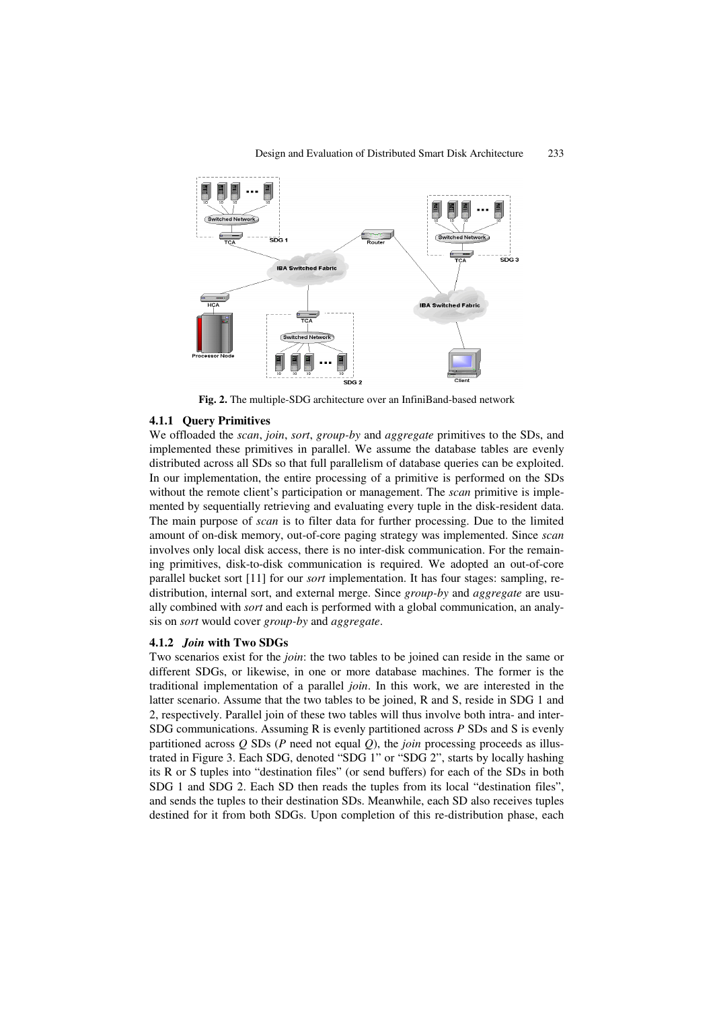

**Fig. 2.** The multiple-SDG architecture over an InfiniBand-based network

# **4.1.1 Query Primitives**

We offloaded the *scan*, *join*, *sort*, *group-by* and *aggregate* primitives to the SDs, and implemented these primitives in parallel. We assume the database tables are evenly distributed across all SDs so that full parallelism of database queries can be exploited. In our implementation, the entire processing of a primitive is performed on the SDs without the remote client's participation or management. The *scan* primitive is implemented by sequentially retrieving and evaluating every tuple in the disk-resident data. The main purpose of *scan* is to filter data for further processing. Due to the limited amount of on-disk memory, out-of-core paging strategy was implemented. Since *scan* involves only local disk access, there is no inter-disk communication. For the remaining primitives, disk-to-disk communication is required. We adopted an out-of-core parallel bucket sort [11] for our *sort* implementation. It has four stages: sampling, redistribution, internal sort, and external merge. Since *group-by* and *aggregate* are usually combined with *sort* and each is performed with a global communication, an analysis on *sort* would cover *group-by* and *aggregate*.

### **4.1.2** *Join* **with Two SDGs**

Two scenarios exist for the *join*: the two tables to be joined can reside in the same or different SDGs, or likewise, in one or more database machines. The former is the traditional implementation of a parallel *join*. In this work, we are interested in the latter scenario. Assume that the two tables to be joined, R and S, reside in SDG 1 and 2, respectively. Parallel join of these two tables will thus involve both intra- and inter-SDG communications. Assuming R is evenly partitioned across *P* SDs and S is evenly partitioned across *Q* SDs (*P* need not equal *Q*), the *join* processing proceeds as illustrated in Figure 3. Each SDG, denoted "SDG 1" or "SDG 2", starts by locally hashing its R or S tuples into "destination files" (or send buffers) for each of the SDs in both SDG 1 and SDG 2. Each SD then reads the tuples from its local "destination files", and sends the tuples to their destination SDs. Meanwhile, each SD also receives tuples destined for it from both SDGs. Upon completion of this re-distribution phase, each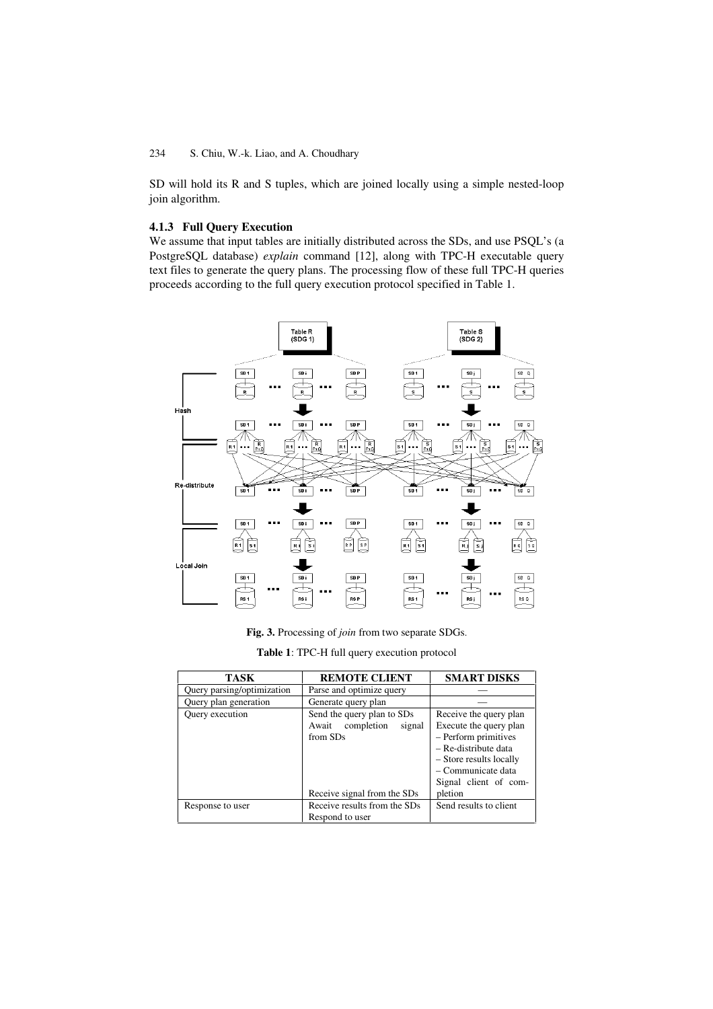SD will hold its R and S tuples, which are joined locally using a simple nested-loop join algorithm.

## **4.1.3 Full Query Execution**

We assume that input tables are initially distributed across the SDs, and use PSQL's (a PostgreSQL database) *explain* command [12], along with TPC-H executable query text files to generate the query plans. The processing flow of these full TPC-H queries proceeds according to the full query execution protocol specified in Table 1.



**Fig. 3.** Processing of *join* from two separate SDGs.

| Table 1: TPC-H full query execution protocol |  |  |
|----------------------------------------------|--|--|
|----------------------------------------------|--|--|

| <b>TASK</b>                | <b>REMOTE CLIENT</b>          | <b>SMART DISKS</b>      |
|----------------------------|-------------------------------|-------------------------|
| Query parsing/optimization | Parse and optimize query      |                         |
| Query plan generation      | Generate query plan           |                         |
| Query execution            | Send the query plan to SDs    | Receive the query plan  |
|                            | completion<br>Await<br>signal | Execute the query plan  |
|                            | from SDs                      | - Perform primitives    |
|                            |                               | $-$ Re-distribute data  |
|                            |                               | - Store results locally |
|                            |                               | - Communicate data      |
|                            |                               | Signal client of com-   |
|                            | Receive signal from the SDs   | pletion                 |
| Response to user           | Receive results from the SDs  | Send results to client  |
|                            | Respond to user               |                         |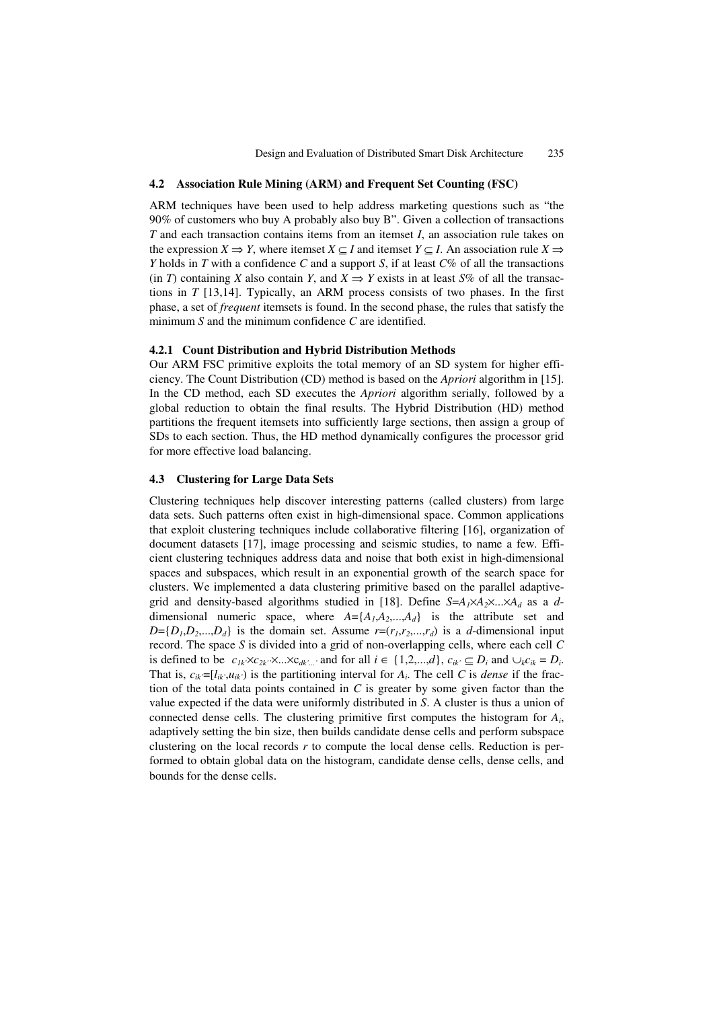### **4.2 Association Rule Mining (ARM) and Frequent Set Counting (FSC)**

ARM techniques have been used to help address marketing questions such as "the 90% of customers who buy A probably also buy B". Given a collection of transactions *T* and each transaction contains items from an itemset *I*, an association rule takes on the expression  $X \Rightarrow Y$ , where itemset  $X \subseteq I$  and itemset  $Y \subseteq I$ . An association rule  $X \Rightarrow Y$ *Y* holds in *T* with a confidence *C* and a support *S*, if at least *C*% of all the transactions (in *T*) containing *X* also contain *Y*, and  $X \Rightarrow Y$  exists in at least *S*% of all the transactions in *T* [13,14]. Typically, an ARM process consists of two phases. In the first phase, a set of *frequent* itemsets is found. In the second phase, the rules that satisfy the minimum *S* and the minimum confidence *C* are identified.

#### **4.2.1 Count Distribution and Hybrid Distribution Methods**

Our ARM FSC primitive exploits the total memory of an SD system for higher efficiency. The Count Distribution (CD) method is based on the *Apriori* algorithm in [15]. In the CD method, each SD executes the *Apriori* algorithm serially, followed by a global reduction to obtain the final results. The Hybrid Distribution (HD) method partitions the frequent itemsets into sufficiently large sections, then assign a group of SDs to each section. Thus, the HD method dynamically configures the processor grid for more effective load balancing.

### **4.3 Clustering for Large Data Sets**

Clustering techniques help discover interesting patterns (called clusters) from large data sets. Such patterns often exist in high-dimensional space. Common applications that exploit clustering techniques include collaborative filtering [16], organization of document datasets [17], image processing and seismic studies, to name a few. Efficient clustering techniques address data and noise that both exist in high-dimensional spaces and subspaces, which result in an exponential growth of the search space for clusters. We implemented a data clustering primitive based on the parallel adaptivegrid and density-based algorithms studied in [18]. Define  $S=A_1\times A_2\times ... \times A_d$  as a *d*dimensional numeric space, where  $A = \{A_1, A_2, \ldots, A_d\}$  is the attribute set and  $D = \{D_1, D_2, \ldots, D_d\}$  is the domain set. Assume  $r = (r_1, r_2, \ldots, r_d)$  is a *d*-dimensional input record. The space *S* is divided into a grid of non-overlapping cells, where each cell *C* is defined to be  $c_{1k} \times c_{2k} \times \dots \times c_{dk}$  and for all  $i \in \{1, 2, \dots, d\}$ ,  $c_{ik} \subseteq D_i$  and  $\cup_k c_{ik} = D_i$ . That is,  $c_{ik}=[l_{ik},u_{ik}]$  is the partitioning interval for  $A_i$ . The cell *C* is *dense* if the fraction of the total data points contained in *C* is greater by some given factor than the value expected if the data were uniformly distributed in *S*. A cluster is thus a union of connected dense cells. The clustering primitive first computes the histogram for *Ai*, adaptively setting the bin size, then builds candidate dense cells and perform subspace clustering on the local records *r* to compute the local dense cells. Reduction is performed to obtain global data on the histogram, candidate dense cells, dense cells, and bounds for the dense cells.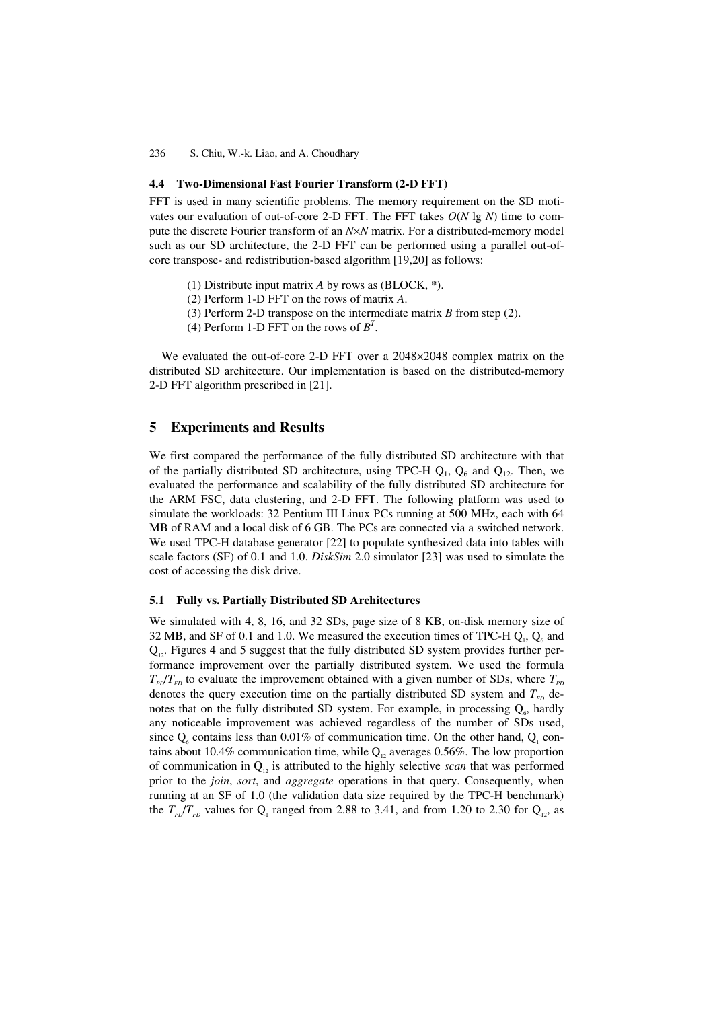### **4.4 Two-Dimensional Fast Fourier Transform (2-D FFT)**

FFT is used in many scientific problems. The memory requirement on the SD motivates our evaluation of out-of-core 2-D FFT. The FFT takes *O*(*N* lg *N*) time to compute the discrete Fourier transform of an *N*×*N* matrix. For a distributed-memory model such as our SD architecture, the 2-D FFT can be performed using a parallel out-ofcore transpose- and redistribution-based algorithm [19,20] as follows:

- (1) Distribute input matrix *A* by rows as (BLOCK, \*).
- (2) Perform 1-D FFT on the rows of matrix *A*.
- (3) Perform 2-D transpose on the intermediate matrix *B* from step (2).
- (4) Perform 1-D FFT on the rows of  $B<sup>T</sup>$ .

 We evaluated the out-of-core 2-D FFT over a 2048×2048 complex matrix on the distributed SD architecture. Our implementation is based on the distributed-memory 2-D FFT algorithm prescribed in [21].

# **5 Experiments and Results**

We first compared the performance of the fully distributed SD architecture with that of the partially distributed SD architecture, using TPC-H  $Q_1$ ,  $Q_6$  and  $Q_{12}$ . Then, we evaluated the performance and scalability of the fully distributed SD architecture for the ARM FSC, data clustering, and 2-D FFT. The following platform was used to simulate the workloads: 32 Pentium III Linux PCs running at 500 MHz, each with 64 MB of RAM and a local disk of 6 GB. The PCs are connected via a switched network. We used TPC-H database generator [22] to populate synthesized data into tables with scale factors (SF) of 0.1 and 1.0. *DiskSim* 2.0 simulator [23] was used to simulate the cost of accessing the disk drive.

### **5.1 Fully vs. Partially Distributed SD Architectures**

We simulated with 4, 8, 16, and 32 SDs, page size of 8 KB, on-disk memory size of 32 MB, and SF of 0.1 and 1.0. We measured the execution times of TPC-H  $Q_1$ ,  $Q_6$  and  $Q<sub>12</sub>$ . Figures 4 and 5 suggest that the fully distributed SD system provides further performance improvement over the partially distributed system. We used the formula  $T_{pD}/T_{FD}$  to evaluate the improvement obtained with a given number of SDs, where  $T_{pp}$ denotes the query execution time on the partially distributed SD system and  $T_{FD}$  denotes that on the fully distributed SD system. For example, in processing  $Q_{\scriptscriptstyle 6}$ , hardly any noticeable improvement was achieved regardless of the number of SDs used, since  $Q_6$  contains less than 0.01% of communication time. On the other hand,  $Q_1$  contains about 10.4% communication time, while  $Q_{12}$  averages 0.56%. The low proportion of communication in  $Q_{12}$  is attributed to the highly selective *scan* that was performed prior to the *join*, *sort*, and *aggregate* operations in that query. Consequently, when running at an SF of 1.0 (the validation data size required by the TPC-H benchmark) the  $T_{pD}/T_{pD}$  values for  $Q_1$  ranged from 2.88 to 3.41, and from 1.20 to 2.30 for  $Q_{12}$ , as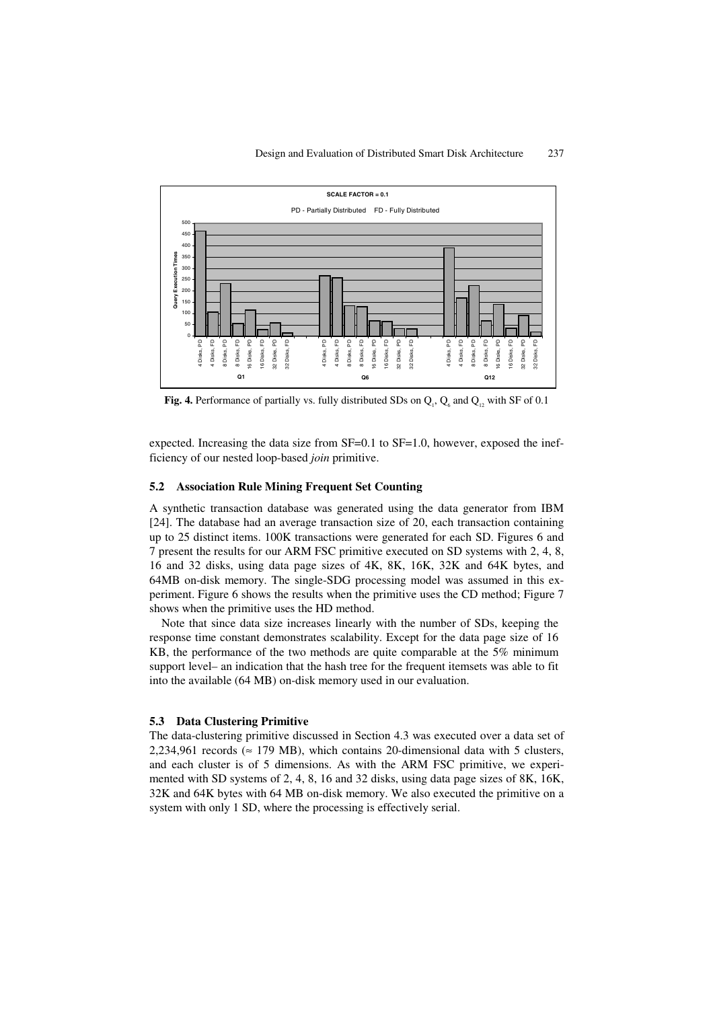

**Fig. 4.** Performance of partially vs. fully distributed SDs on  $Q_1$ ,  $Q_6$  and  $Q_{12}$  with SF of 0.1

expected. Increasing the data size from SF=0.1 to SF=1.0, however, exposed the inefficiency of our nested loop-based *join* primitive.

#### **5.2 Association Rule Mining Frequent Set Counting**

A synthetic transaction database was generated using the data generator from IBM [24]. The database had an average transaction size of 20, each transaction containing up to 25 distinct items. 100K transactions were generated for each SD. Figures 6 and 7 present the results for our ARM FSC primitive executed on SD systems with 2, 4, 8, 16 and 32 disks, using data page sizes of 4K, 8K, 16K, 32K and 64K bytes, and 64MB on-disk memory. The single-SDG processing model was assumed in this experiment. Figure 6 shows the results when the primitive uses the CD method; Figure 7 shows when the primitive uses the HD method.

 Note that since data size increases linearly with the number of SDs, keeping the response time constant demonstrates scalability. Except for the data page size of 16 KB, the performance of the two methods are quite comparable at the 5% minimum support level– an indication that the hash tree for the frequent itemsets was able to fit into the available (64 MB) on-disk memory used in our evaluation.

#### **5.3 Data Clustering Primitive**

The data-clustering primitive discussed in Section 4.3 was executed over a data set of 2,234,961 records ( $\approx$  179 MB), which contains 20-dimensional data with 5 clusters, and each cluster is of 5 dimensions. As with the ARM FSC primitive, we experimented with SD systems of 2, 4, 8, 16 and 32 disks, using data page sizes of 8K, 16K, 32K and 64K bytes with 64 MB on-disk memory. We also executed the primitive on a system with only 1 SD, where the processing is effectively serial.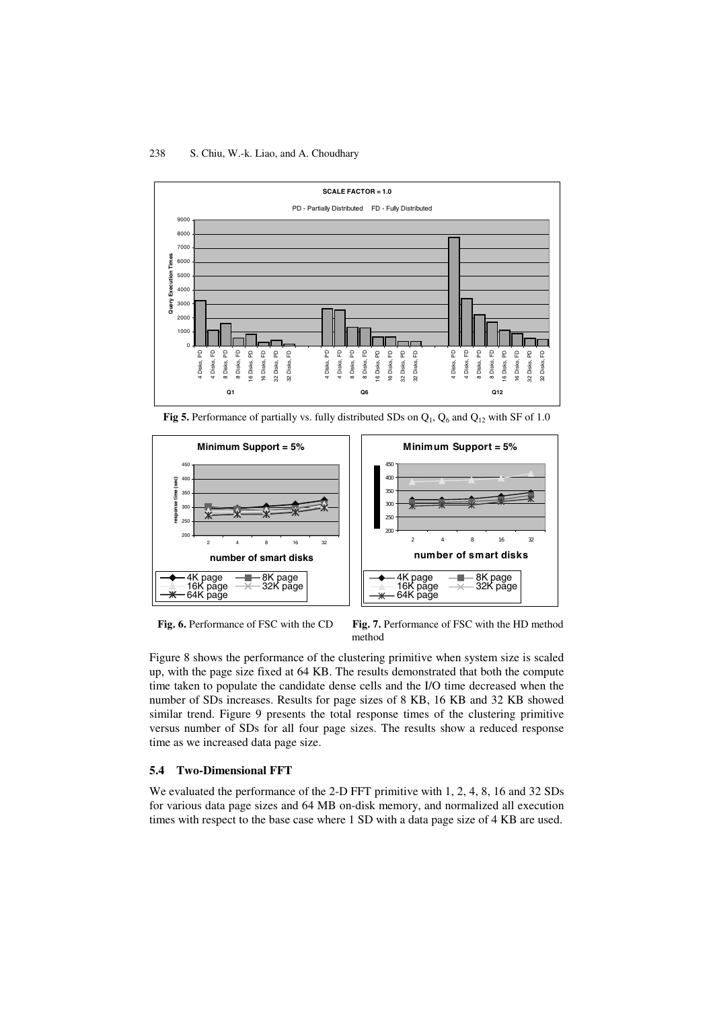

**Fig 5.** Performance of partially vs. fully distributed SDs on  $Q_1$ ,  $Q_6$  and  $Q_{12}$  with SF of 1.0



 **Fig. 6.** Performance of FSC with the CD **Fig. 7.** Performance of FSC with the HD method method

Figure 8 shows the performance of the clustering primitive when system size is scaled up, with the page size fixed at 64 KB. The results demonstrated that both the compute time taken to populate the candidate dense cells and the I/O time decreased when the number of SDs increases. Results for page sizes of 8 KB, 16 KB and 32 KB showed similar trend. Figure 9 presents the total response times of the clustering primitive versus number of SDs for all four page sizes. The results show a reduced response time as we increased data page size.

#### **5.4 Two-Dimensional FFT**

We evaluated the performance of the 2-D FFT primitive with 1, 2, 4, 8, 16 and 32 SDs for various data page sizes and 64 MB on-disk memory, and normalized all execution times with respect to the base case where 1 SD with a data page size of 4 KB are used.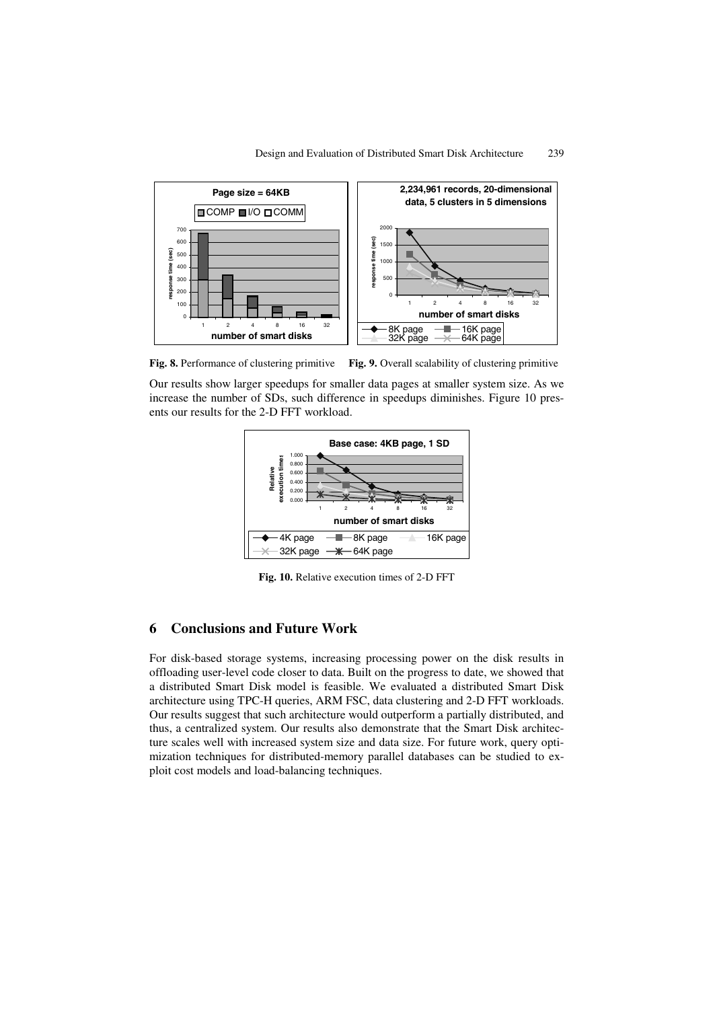

**Fig. 8.** Performance of clustering primitive **Fig. 9.** Overall scalability of clustering primitive

Our results show larger speedups for smaller data pages at smaller system size. As we increase the number of SDs, such difference in speedups diminishes. Figure 10 presents our results for the 2-D FFT workload.



**Fig. 10.** Relative execution times of 2-D FFT

# **6 Conclusions and Future Work**

For disk-based storage systems, increasing processing power on the disk results in offloading user-level code closer to data. Built on the progress to date, we showed that a distributed Smart Disk model is feasible. We evaluated a distributed Smart Disk architecture using TPC-H queries, ARM FSC, data clustering and 2-D FFT workloads. Our results suggest that such architecture would outperform a partially distributed, and thus, a centralized system. Our results also demonstrate that the Smart Disk architecture scales well with increased system size and data size. For future work, query optimization techniques for distributed-memory parallel databases can be studied to exploit cost models and load-balancing techniques.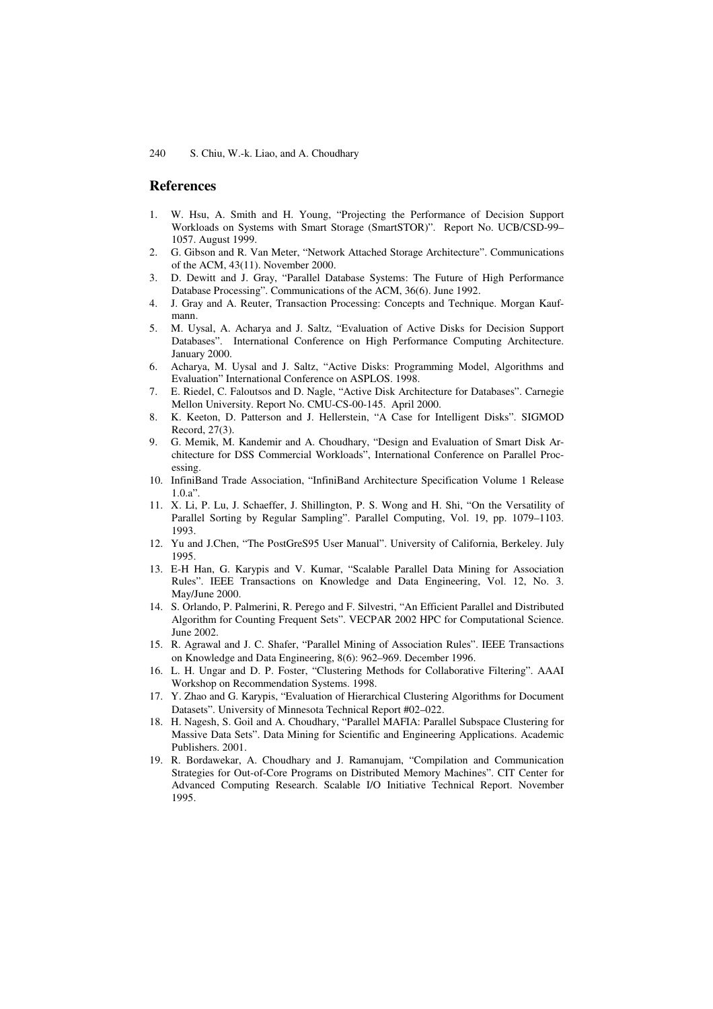# **References**

- 1. W. Hsu, A. Smith and H. Young, "Projecting the Performance of Decision Support Workloads on Systems with Smart Storage (SmartSTOR)". Report No. UCB/CSD-99– 1057. August 1999.
- 2. G. Gibson and R. Van Meter, "Network Attached Storage Architecture". Communications of the ACM, 43(11). November 2000.
- 3. D. Dewitt and J. Gray, "Parallel Database Systems: The Future of High Performance Database Processing". Communications of the ACM, 36(6). June 1992.
- 4. J. Gray and A. Reuter, Transaction Processing: Concepts and Technique. Morgan Kaufmann.
- 5. M. Uysal, A. Acharya and J. Saltz, "Evaluation of Active Disks for Decision Support Databases". International Conference on High Performance Computing Architecture. January 2000.
- 6. Acharya, M. Uysal and J. Saltz, "Active Disks: Programming Model, Algorithms and Evaluation" International Conference on ASPLOS. 1998.
- 7. E. Riedel, C. Faloutsos and D. Nagle, "Active Disk Architecture for Databases". Carnegie Mellon University. Report No. CMU-CS-00-145. April 2000.
- 8. K. Keeton, D. Patterson and J. Hellerstein, "A Case for Intelligent Disks". SIGMOD Record, 27(3).
- 9. G. Memik, M. Kandemir and A. Choudhary, "Design and Evaluation of Smart Disk Architecture for DSS Commercial Workloads", International Conference on Parallel Processing.
- 10. InfiniBand Trade Association, "InfiniBand Architecture Specification Volume 1 Release 1.0.a".
- 11. X. Li, P. Lu, J. Schaeffer, J. Shillington, P. S. Wong and H. Shi, "On the Versatility of Parallel Sorting by Regular Sampling". Parallel Computing, Vol. 19, pp. 1079–1103. 1993.
- 12. Yu and J.Chen, "The PostGreS95 User Manual". University of California, Berkeley. July 1995.
- 13. E-H Han, G. Karypis and V. Kumar, "Scalable Parallel Data Mining for Association Rules". IEEE Transactions on Knowledge and Data Engineering, Vol. 12, No. 3. May/June 2000.
- 14. S. Orlando, P. Palmerini, R. Perego and F. Silvestri, "An Efficient Parallel and Distributed Algorithm for Counting Frequent Sets". VECPAR 2002 HPC for Computational Science. June 2002.
- 15. R. Agrawal and J. C. Shafer, "Parallel Mining of Association Rules". IEEE Transactions on Knowledge and Data Engineering, 8(6): 962–969. December 1996.
- 16. L. H. Ungar and D. P. Foster, "Clustering Methods for Collaborative Filtering". AAAI Workshop on Recommendation Systems. 1998.
- 17. Y. Zhao and G. Karypis, "Evaluation of Hierarchical Clustering Algorithms for Document Datasets". University of Minnesota Technical Report #02–022.
- 18. H. Nagesh, S. Goil and A. Choudhary, "Parallel MAFIA: Parallel Subspace Clustering for Massive Data Sets". Data Mining for Scientific and Engineering Applications. Academic Publishers. 2001.
- 19. R. Bordawekar, A. Choudhary and J. Ramanujam, "Compilation and Communication Strategies for Out-of-Core Programs on Distributed Memory Machines". CIT Center for Advanced Computing Research. Scalable I/O Initiative Technical Report. November 1995.